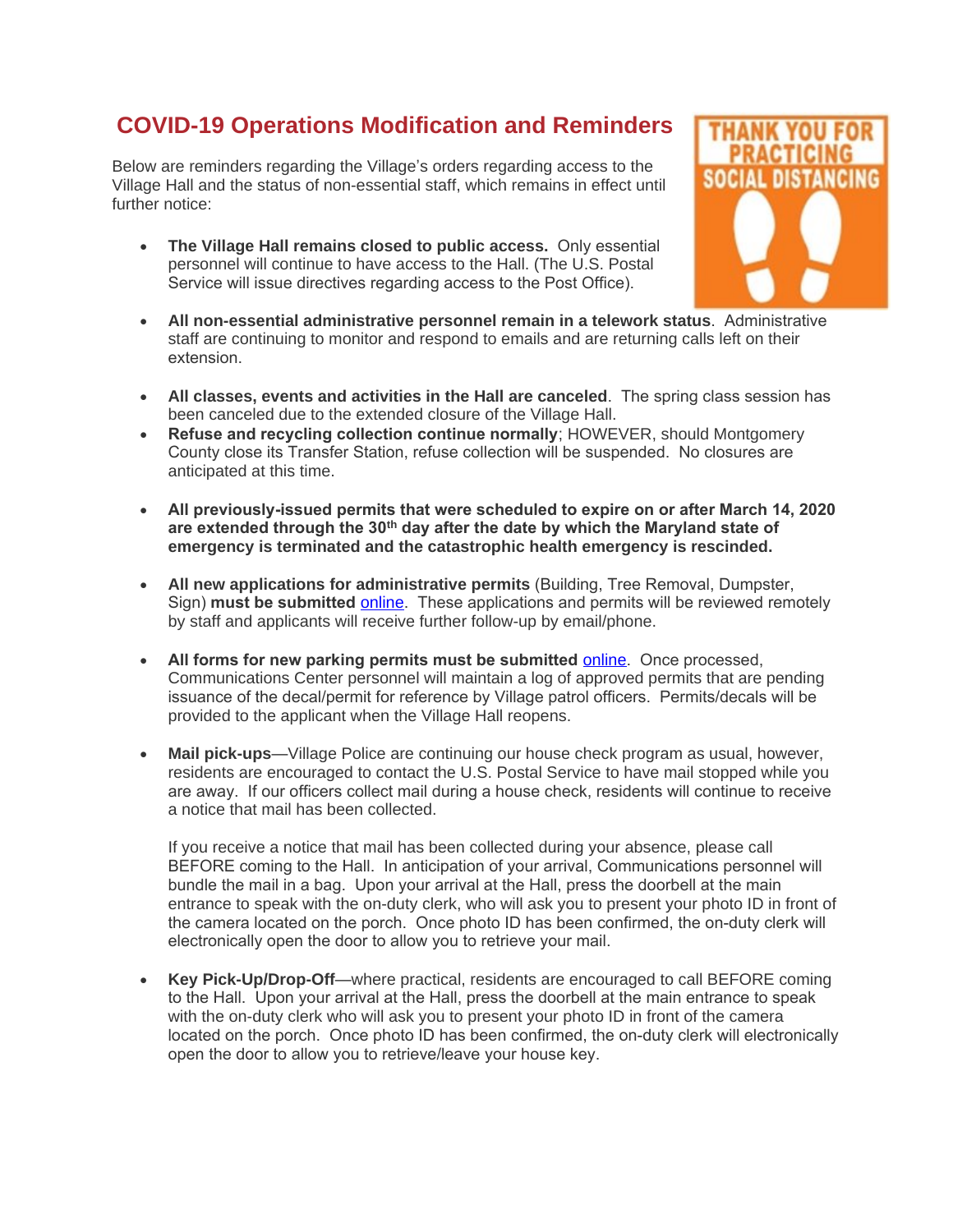## **COVID-19 Operations Modification and Reminders**

Below are reminders regarding the Village's orders regarding access to the Village Hall and the status of non-essential staff, which remains in effect until further notice:

 **The Village Hall remains closed to public access.** Only essential personnel will continue to have access to the Hall. (The U.S. Postal Service will issue directives regarding access to the Post Office).



- **All non-essential administrative personnel remain in a telework status**. Administrative staff are continuing to monitor and respond to emails and are returning calls left on their extension.
- **All classes, events and activities in the Hall are canceled**. The spring class session has been canceled due to the extended closure of the Village Hall.
- **Refuse and recycling collection continue normally**; HOWEVER, should Montgomery County close its Transfer Station, refuse collection will be suspended. No closures are anticipated at this time.
- **All previously-issued permits that were scheduled to expire on or after March 14, 2020 are extended through the 30th day after the date by which the Maryland state of emergency is terminated and the catastrophic health emergency is rescinded.**
- **All new applications for administrative permits** (Building, Tree Removal, Dumpster, Sign) **must be submitted** [online](https://gcc01.safelinks.protection.outlook.com/?url=https%3A%2F%2Fwww.chevychasevillagemd.gov%2F162%2FVillage-Forms-and-Applications&data=02%7C01%7Cshana.davis-cook%40montgomerycountymd.gov%7C08abb25419ae4d0a1e2908d8359dd40d%7C6e01b1f9b1e54073ac97778069a0ad64%7C0%7C1%7C637318299281703844&sdata=XnKQ1aL0CdQlWu%2Fi%2BJb6nXQRjsR4grFURgpEhEts3IM%3D&reserved=0). These applications and permits will be reviewed remotely by staff and applicants will receive further follow-up by email/phone.
- **All forms for new parking permits must be submitted** [online](https://gcc01.safelinks.protection.outlook.com/?url=https%3A%2F%2Fwww.chevychasevillagemd.gov%2F162%2FVillage-Forms-and-Applications&data=02%7C01%7Cshana.davis-cook%40montgomerycountymd.gov%7C08abb25419ae4d0a1e2908d8359dd40d%7C6e01b1f9b1e54073ac97778069a0ad64%7C0%7C1%7C637318299281703844&sdata=XnKQ1aL0CdQlWu%2Fi%2BJb6nXQRjsR4grFURgpEhEts3IM%3D&reserved=0). Once processed, Communications Center personnel will maintain a log of approved permits that are pending issuance of the decal/permit for reference by Village patrol officers. Permits/decals will be provided to the applicant when the Village Hall reopens.
- **Mail pick-ups**—Village Police are continuing our house check program as usual, however, residents are encouraged to contact the U.S. Postal Service to have mail stopped while you are away. If our officers collect mail during a house check, residents will continue to receive a notice that mail has been collected.

If you receive a notice that mail has been collected during your absence, please call BEFORE coming to the Hall. In anticipation of your arrival, Communications personnel will bundle the mail in a bag. Upon your arrival at the Hall, press the doorbell at the main entrance to speak with the on-duty clerk, who will ask you to present your photo ID in front of the camera located on the porch. Once photo ID has been confirmed, the on-duty clerk will electronically open the door to allow you to retrieve your mail.

 **Key Pick-Up/Drop-Off**—where practical, residents are encouraged to call BEFORE coming to the Hall. Upon your arrival at the Hall, press the doorbell at the main entrance to speak with the on-duty clerk who will ask you to present your photo ID in front of the camera located on the porch. Once photo ID has been confirmed, the on-duty clerk will electronically open the door to allow you to retrieve/leave your house key.